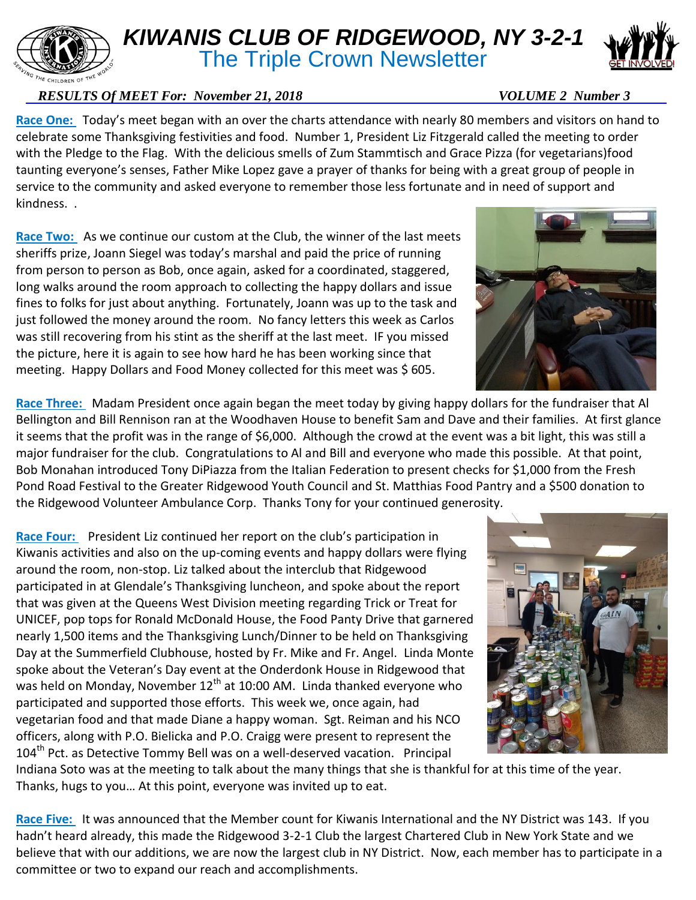## *KIWANIS CLUB OF RIDGEWOOD, NY 3-2-1*

**The Triple Crown Newsletter** 

## *RESULTS Of MEET For: November 21, 2018* VOLUME 2 Number 3

**Race One:** Today's meet began with an over the charts attendance with nearly 80 members and visitors on hand to celebrate some Thanksgiving festivities and food. Number 1, President Liz Fitzgerald called the meeting to order with the Pledge to the Flag. With the delicious smells of Zum Stammtisch and Grace Pizza (for vegetarians)food taunting everyone's senses, Father Mike Lopez gave a prayer of thanks for being with a great group of people in service to the community and asked everyone to remember those less fortunate and in need of support and kindness. .

Race Two: As we continue our custom at the Club, the winner of the last meets sheriffs prize, Joann Siegel was today's marshal and paid the price of running from person to person as Bob, once again, asked for a coordinated, staggered, long walks around the room approach to collecting the happy dollars and issue fines to folks for just about anything. Fortunately, Joann was up to the task and just followed the money around the room. No fancy letters this week as Carlos was still recovering from his stint as the sheriff at the last meet. IF you missed the picture, here it is again to see how hard he has been working since that meeting. Happy Dollars and Food Money collected for this meet was \$ 605.

**Race Three:** Madam President once again began the meet today by giving happy dollars for the fundraiser that Al Bellington and Bill Rennison ran at the Woodhaven House to benefit Sam and Dave and their families. At first glance it seems that the profit was in the range of \$6,000. Although the crowd at the event was a bit light, this was still a major fundraiser for the club. Congratulations to Al and Bill and everyone who made this possible. At that point, Bob Monahan introduced Tony DiPiazza from the Italian Federation to present checks for \$1,000 from the Fresh Pond Road Festival to the Greater Ridgewood Youth Council and St. Matthias Food Pantry and a \$500 donation to the Ridgewood Volunteer Ambulance Corp. Thanks Tony for your continued generosity.

**Race Four:** President Liz continued her report on the club's participation in Kiwanis activities and also on the up-coming events and happy dollars were flying around the room, non-stop. Liz talked about the interclub that Ridgewood participated in at Glendale's Thanksgiving luncheon, and spoke about the report that was given at the Queens West Division meeting regarding Trick or Treat for UNICEF, pop tops for Ronald McDonald House, the Food Panty Drive that garnered nearly 1,500 items and the Thanksgiving Lunch/Dinner to be held on Thanksgiving Day at the Summerfield Clubhouse, hosted by Fr. Mike and Fr. Angel. Linda Monte spoke about the Veteran's Day event at the Onderdonk House in Ridgewood that was held on Monday, November  $12^{th}$  at 10:00 AM. Linda thanked everyone who participated and supported those efforts. This week we, once again, had vegetarian food and that made Diane a happy woman. Sgt. Reiman and his NCO officers, along with P.O. Bielicka and P.O. Craigg were present to represent the 104<sup>th</sup> Pct. as Detective Tommy Bell was on a well-deserved vacation. Principal

Indiana Soto was at the meeting to talk about the many things that she is thankful for at this time of the year. Thanks, hugs to you… At this point, everyone was invited up to eat.

**Race Five:** It was announced that the Member count for Kiwanis International and the NY District was 143. If you hadn't heard already, this made the Ridgewood 3-2-1 Club the largest Chartered Club in New York State and we believe that with our additions, we are now the largest club in NY District. Now, each member has to participate in a committee or two to expand our reach and accomplishments.